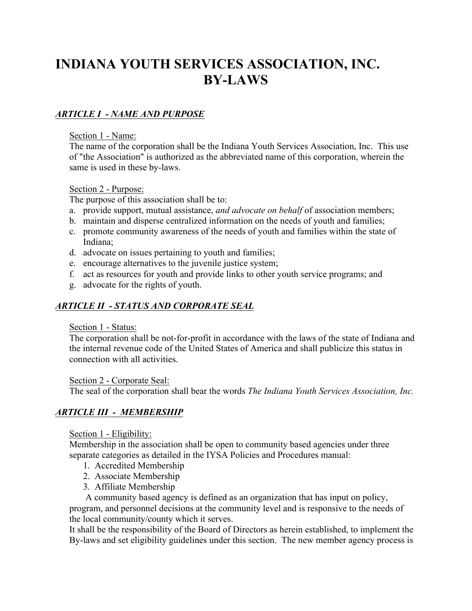# **INDIANA YOUTH SERVICES ASSOCIATION, INC. BY-LAWS**

# *ARTICLE I - NAME AND PURPOSE*

#### Section 1 - Name:

The name of the corporation shall be the Indiana Youth Services Association, Inc. This use of "the Association" is authorized as the abbreviated name of this corporation, wherein the same is used in these by-laws.

## Section 2 - Purpose:

The purpose of this association shall be to:

- a. provide support, mutual assistance, *and advocate on behalf* of association members;
- b. maintain and disperse centralized information on the needs of youth and families;
- c. promote community awareness of the needs of youth and families within the state of Indiana;
- d. advocate on issues pertaining to youth and families;
- e. encourage alternatives to the juvenile justice system;
- f. act as resources for youth and provide links to other youth service programs; and
- g. advocate for the rights of youth.

# *ARTICLE II - STATUS AND CORPORATE SEAL*

## Section 1 - Status:

The corporation shall be not-for-profit in accordance with the laws of the state of Indiana and the internal revenue code of the United States of America and shall publicize this status in connection with all activities.

## Section 2 - Corporate Seal:

The seal of the corporation shall bear the words *The Indiana Youth Services Association, Inc.*

# *ARTICLE III - MEMBERSHIP*

## Section 1 - Eligibility:

Membership in the association shall be open to community based agencies under three separate categories as detailed in the IYSA Policies and Procedures manual:

- 1. Accredited Membership
- 2. Associate Membership
- 3. Affiliate Membership

 A community based agency is defined as an organization that has input on policy, program, and personnel decisions at the community level and is responsive to the needs of the local community/county which it serves.

It shall be the responsibility of the Board of Directors as herein established, to implement the By-laws and set eligibility guidelines under this section. The new member agency process is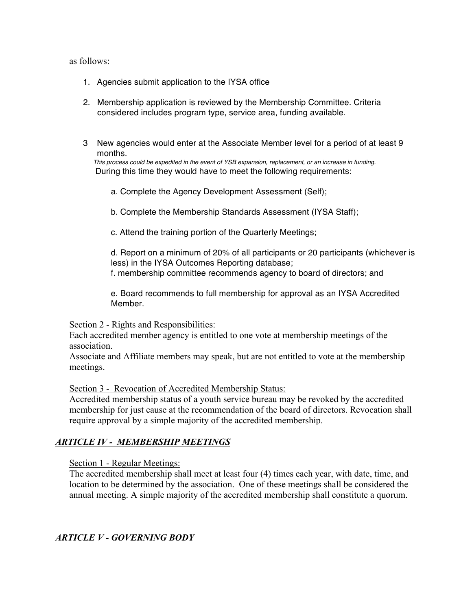#### as follows:

- 1. Agencies submit application to the IYSA office
- 2. Membership application is reviewed by the Membership Committee. Criteria considered includes program type, service area, funding available.
- 3 New agencies would enter at the Associate Member level for a period of at least 9 months.

*This process could be expedited in the event of YSB expansion, replacement, or an increase in funding.*  During this time they would have to meet the following requirements:

- a. Complete the Agency Development Assessment (Self);
- b. Complete the Membership Standards Assessment (IYSA Staff);
- c. Attend the training portion of the Quarterly Meetings;

d. Report on a minimum of 20% of all participants or 20 participants (whichever is less) in the IYSA Outcomes Reporting database;

f. membership committee recommends agency to board of directors; and

e. Board recommends to full membership for approval as an IYSA Accredited Member.

#### Section 2 - Rights and Responsibilities:

Each accredited member agency is entitled to one vote at membership meetings of the association.

Associate and Affiliate members may speak, but are not entitled to vote at the membership meetings.

Section 3 - Revocation of Accredited Membership Status:

Accredited membership status of a youth service bureau may be revoked by the accredited membership for just cause at the recommendation of the board of directors. Revocation shall require approval by a simple majority of the accredited membership.

## *ARTICLE IV - MEMBERSHIP MEETINGS*

Section 1 - Regular Meetings:

The accredited membership shall meet at least four (4) times each year, with date, time, and location to be determined by the association. One of these meetings shall be considered the annual meeting. A simple majority of the accredited membership shall constitute a quorum.

## *ARTICLE V - GOVERNING BODY*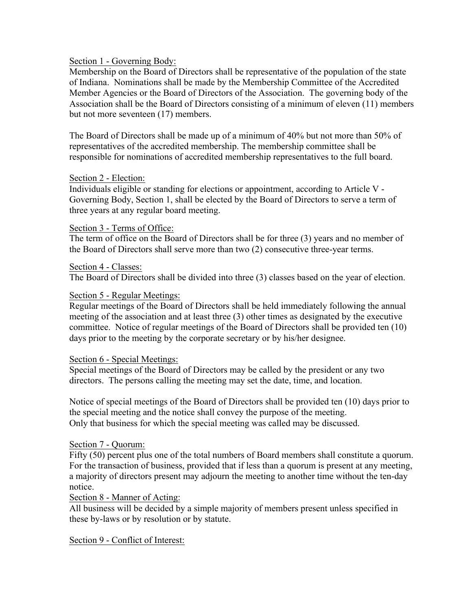#### Section 1 - Governing Body:

Membership on the Board of Directors shall be representative of the population of the state of Indiana. Nominations shall be made by the Membership Committee of the Accredited Member Agencies or the Board of Directors of the Association. The governing body of the Association shall be the Board of Directors consisting of a minimum of eleven (11) members but not more seventeen (17) members.

The Board of Directors shall be made up of a minimum of 40% but not more than 50% of representatives of the accredited membership. The membership committee shall be responsible for nominations of accredited membership representatives to the full board.

#### Section 2 - Election:

Individuals eligible or standing for elections or appointment, according to Article V - Governing Body, Section 1, shall be elected by the Board of Directors to serve a term of three years at any regular board meeting.

#### Section 3 - Terms of Office:

The term of office on the Board of Directors shall be for three (3) years and no member of the Board of Directors shall serve more than two (2) consecutive three-year terms.

#### Section 4 - Classes:

The Board of Directors shall be divided into three (3) classes based on the year of election.

#### Section 5 - Regular Meetings:

Regular meetings of the Board of Directors shall be held immediately following the annual meeting of the association and at least three (3) other times as designated by the executive committee. Notice of regular meetings of the Board of Directors shall be provided ten (10) days prior to the meeting by the corporate secretary or by his/her designee.

#### Section 6 - Special Meetings:

Special meetings of the Board of Directors may be called by the president or any two directors. The persons calling the meeting may set the date, time, and location.

Notice of special meetings of the Board of Directors shall be provided ten (10) days prior to the special meeting and the notice shall convey the purpose of the meeting. Only that business for which the special meeting was called may be discussed.

## Section 7 - Quorum:

Fifty (50) percent plus one of the total numbers of Board members shall constitute a quorum. For the transaction of business, provided that if less than a quorum is present at any meeting, a majority of directors present may adjourn the meeting to another time without the ten-day notice.

#### Section 8 - Manner of Acting:

All business will be decided by a simple majority of members present unless specified in these by-laws or by resolution or by statute.

## Section 9 - Conflict of Interest: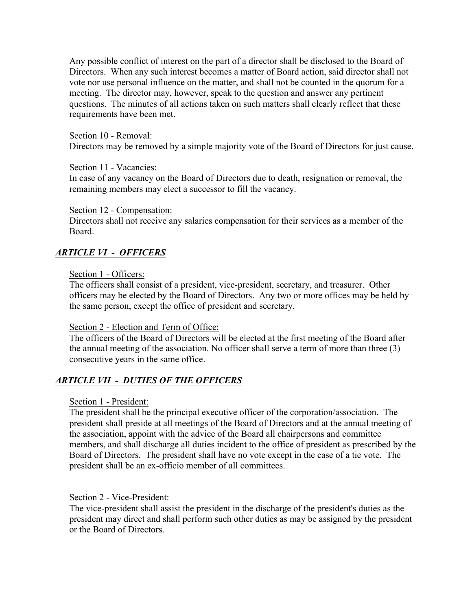Any possible conflict of interest on the part of a director shall be disclosed to the Board of Directors. When any such interest becomes a matter of Board action, said director shall not vote nor use personal influence on the matter, and shall not be counted in the quorum for a meeting. The director may, however, speak to the question and answer any pertinent questions. The minutes of all actions taken on such matters shall clearly reflect that these requirements have been met.

#### Section 10 - Removal:

Directors may be removed by a simple majority vote of the Board of Directors for just cause.

#### Section 11 - Vacancies:

In case of any vacancy on the Board of Directors due to death, resignation or removal, the remaining members may elect a successor to fill the vacancy.

#### Section 12 - Compensation:

Directors shall not receive any salaries compensation for their services as a member of the Board.

# *ARTICLE VI - OFFICERS*

#### Section 1 - Officers:

The officers shall consist of a president, vice-president, secretary, and treasurer. Other officers may be elected by the Board of Directors. Any two or more offices may be held by the same person, except the office of president and secretary.

#### Section 2 - Election and Term of Office:

The officers of the Board of Directors will be elected at the first meeting of the Board after the annual meeting of the association. No officer shall serve a term of more than three (3) consecutive years in the same office.

## *ARTICLE VII - DUTIES OF THE OFFICERS*

#### Section 1 - President:

The president shall be the principal executive officer of the corporation/association. The president shall preside at all meetings of the Board of Directors and at the annual meeting of the association, appoint with the advice of the Board all chairpersons and committee members, and shall discharge all duties incident to the office of president as prescribed by the Board of Directors. The president shall have no vote except in the case of a tie vote. The president shall be an ex-officio member of all committees.

#### Section 2 - Vice-President:

The vice-president shall assist the president in the discharge of the president's duties as the president may direct and shall perform such other duties as may be assigned by the president or the Board of Directors.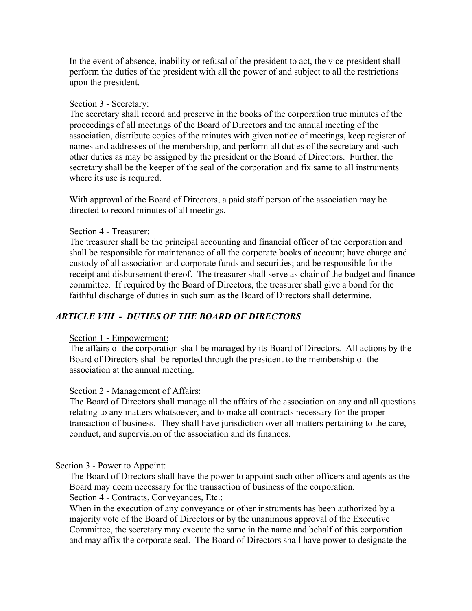In the event of absence, inability or refusal of the president to act, the vice-president shall perform the duties of the president with all the power of and subject to all the restrictions upon the president.

#### Section 3 - Secretary:

The secretary shall record and preserve in the books of the corporation true minutes of the proceedings of all meetings of the Board of Directors and the annual meeting of the association, distribute copies of the minutes with given notice of meetings, keep register of names and addresses of the membership, and perform all duties of the secretary and such other duties as may be assigned by the president or the Board of Directors. Further, the secretary shall be the keeper of the seal of the corporation and fix same to all instruments where its use is required.

With approval of the Board of Directors, a paid staff person of the association may be directed to record minutes of all meetings.

#### Section 4 - Treasurer:

The treasurer shall be the principal accounting and financial officer of the corporation and shall be responsible for maintenance of all the corporate books of account; have charge and custody of all association and corporate funds and securities; and be responsible for the receipt and disbursement thereof. The treasurer shall serve as chair of the budget and finance committee. If required by the Board of Directors, the treasurer shall give a bond for the faithful discharge of duties in such sum as the Board of Directors shall determine.

# *ARTICLE VIII - DUTIES OF THE BOARD OF DIRECTORS*

## Section 1 - Empowerment:

The affairs of the corporation shall be managed by its Board of Directors. All actions by the Board of Directors shall be reported through the president to the membership of the association at the annual meeting.

## Section 2 - Management of Affairs:

The Board of Directors shall manage all the affairs of the association on any and all questions relating to any matters whatsoever, and to make all contracts necessary for the proper transaction of business. They shall have jurisdiction over all matters pertaining to the care, conduct, and supervision of the association and its finances.

#### Section 3 - Power to Appoint:

The Board of Directors shall have the power to appoint such other officers and agents as the Board may deem necessary for the transaction of business of the corporation. Section 4 - Contracts, Conveyances, Etc.:

When in the execution of any conveyance or other instruments has been authorized by a majority vote of the Board of Directors or by the unanimous approval of the Executive Committee, the secretary may execute the same in the name and behalf of this corporation and may affix the corporate seal. The Board of Directors shall have power to designate the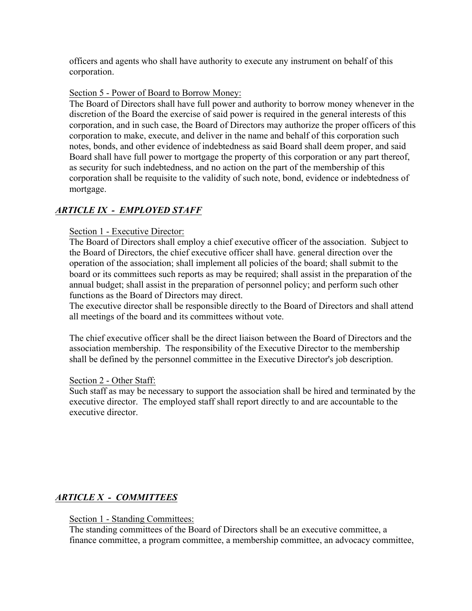officers and agents who shall have authority to execute any instrument on behalf of this corporation.

## Section 5 - Power of Board to Borrow Money:

The Board of Directors shall have full power and authority to borrow money whenever in the discretion of the Board the exercise of said power is required in the general interests of this corporation, and in such case, the Board of Directors may authorize the proper officers of this corporation to make, execute, and deliver in the name and behalf of this corporation such notes, bonds, and other evidence of indebtedness as said Board shall deem proper, and said Board shall have full power to mortgage the property of this corporation or any part thereof, as security for such indebtedness, and no action on the part of the membership of this corporation shall be requisite to the validity of such note, bond, evidence or indebtedness of mortgage.

# *ARTICLE IX - EMPLOYED STAFF*

#### Section 1 - Executive Director:

The Board of Directors shall employ a chief executive officer of the association. Subject to the Board of Directors, the chief executive officer shall have. general direction over the operation of the association; shall implement all policies of the board; shall submit to the board or its committees such reports as may be required; shall assist in the preparation of the annual budget; shall assist in the preparation of personnel policy; and perform such other functions as the Board of Directors may direct.

The executive director shall be responsible directly to the Board of Directors and shall attend all meetings of the board and its committees without vote.

The chief executive officer shall be the direct liaison between the Board of Directors and the association membership. The responsibility of the Executive Director to the membership shall be defined by the personnel committee in the Executive Director's job description.

#### Section 2 - Other Staff:

Such staff as may be necessary to support the association shall be hired and terminated by the executive director. The employed staff shall report directly to and are accountable to the executive director.

# *ARTICLE X - COMMITTEES*

#### Section 1 - Standing Committees:

The standing committees of the Board of Directors shall be an executive committee, a finance committee, a program committee, a membership committee, an advocacy committee,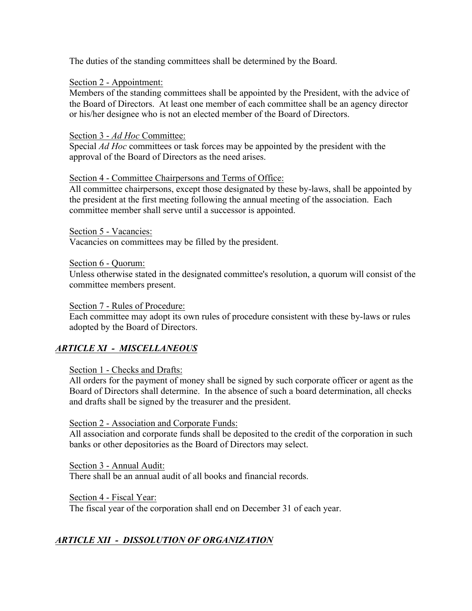The duties of the standing committees shall be determined by the Board.

## Section 2 - Appointment:

Members of the standing committees shall be appointed by the President, with the advice of the Board of Directors. At least one member of each committee shall be an agency director or his/her designee who is not an elected member of the Board of Directors.

## Section 3 - *Ad Hoc* Committee:

Special *Ad Hoc* committees or task forces may be appointed by the president with the approval of the Board of Directors as the need arises.

## Section 4 - Committee Chairpersons and Terms of Office:

All committee chairpersons, except those designated by these by-laws, shall be appointed by the president at the first meeting following the annual meeting of the association. Each committee member shall serve until a successor is appointed.

Section 5 - Vacancies:

Vacancies on committees may be filled by the president.

Section 6 - Quorum:

Unless otherwise stated in the designated committee's resolution, a quorum will consist of the committee members present.

Section 7 - Rules of Procedure:

Each committee may adopt its own rules of procedure consistent with these by-laws or rules adopted by the Board of Directors.

# *ARTICLE XI - MISCELLANEOUS*

# Section 1 - Checks and Drafts:

All orders for the payment of money shall be signed by such corporate officer or agent as the Board of Directors shall determine. In the absence of such a board determination, all checks and drafts shall be signed by the treasurer and the president.

Section 2 - Association and Corporate Funds:

All association and corporate funds shall be deposited to the credit of the corporation in such banks or other depositories as the Board of Directors may select.

Section 3 - Annual Audit: There shall be an annual audit of all books and financial records.

Section 4 - Fiscal Year:

The fiscal year of the corporation shall end on December 31 of each year.

# *ARTICLE XII - DISSOLUTION OF ORGANIZATION*